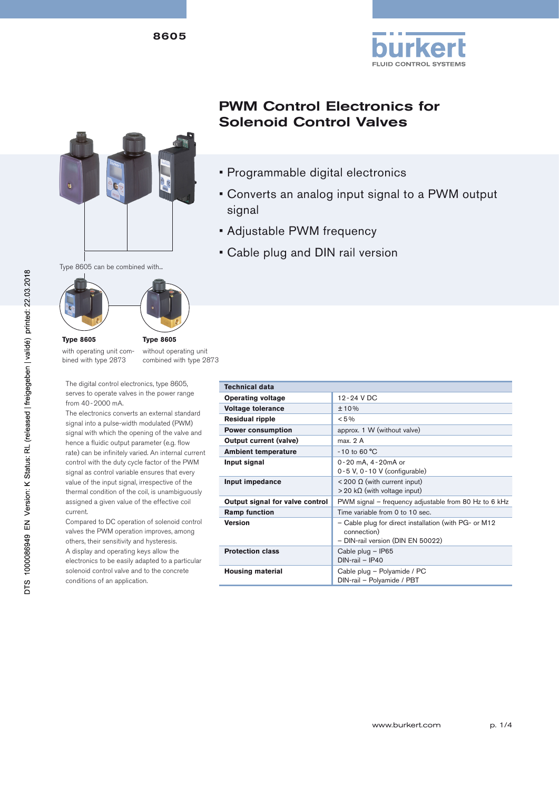



# PWM Control Electronics for Solenoid Control Valves

- Programmable digital electronics
- Converts an analog input signal to a PWM output signal
- Adjustable PWM frequency
- Cable plug and DIN rail version

Type 8605 can be combined with...



### **Type 8605**

with operating unit combined with type 2873

without operating unit combined with type 2873

The digital control electronics, type 8605, serves to operate valves in the power range from 40-2000 mA.

The electronics converts an external standard signal into a pulse-width modulated (PWM) signal with which the opening of the valve and hence a fluidic output parameter (e.g. flow rate) can be infinitely varied. An internal current control with the duty cycle factor of the PWM signal as control variable ensures that every value of the input signal, irrespective of the thermal condition of the coil, is unambiguously assigned a given value of the effective coil current.

Compared to DC operation of solenoid control valves the PWM operation improves, among others, their sensitivity and hysteresis. A display and operating keys allow the electronics to be easily adapted to a particular solenoid control valve and to the concrete conditions of an application.

| <b>Technical data</b>           |                                                                                                           |  |  |  |
|---------------------------------|-----------------------------------------------------------------------------------------------------------|--|--|--|
| <b>Operating voltage</b>        | 12-24 V DC                                                                                                |  |  |  |
| <b>Voltage tolerance</b>        | ±10%                                                                                                      |  |  |  |
| <b>Residual ripple</b>          | $< 5\%$                                                                                                   |  |  |  |
| <b>Power consumption</b>        | approx. 1 W (without valve)                                                                               |  |  |  |
| <b>Output current (valve)</b>   | max. 2 A                                                                                                  |  |  |  |
| <b>Ambient temperature</b>      | $-10$ to 60 °C                                                                                            |  |  |  |
| Input signal                    | 0-20 mA, 4-20mA or<br>$0 - 5$ V, $0 - 10$ V (configurable)                                                |  |  |  |
| Input impedance                 | < 200 Ω (with current input)<br>$>$ 20 kΩ (with voltage input)                                            |  |  |  |
| Output signal for valve control | PWM signal – frequency adjustable from 80 Hz to 6 kHz                                                     |  |  |  |
| <b>Ramp function</b>            | Time variable from 0 to 10 sec.                                                                           |  |  |  |
| <b>Version</b>                  | - Cable plug for direct installation (with PG- or M12<br>connection)<br>- DIN-rail version (DIN EN 50022) |  |  |  |
| <b>Protection class</b>         | Cable plug - IP65<br>$DIN$ -rail - IP40                                                                   |  |  |  |
| <b>Housing material</b>         | Cable plug - Polyamide / PC<br>DIN-rail - Polyamide / PBT                                                 |  |  |  |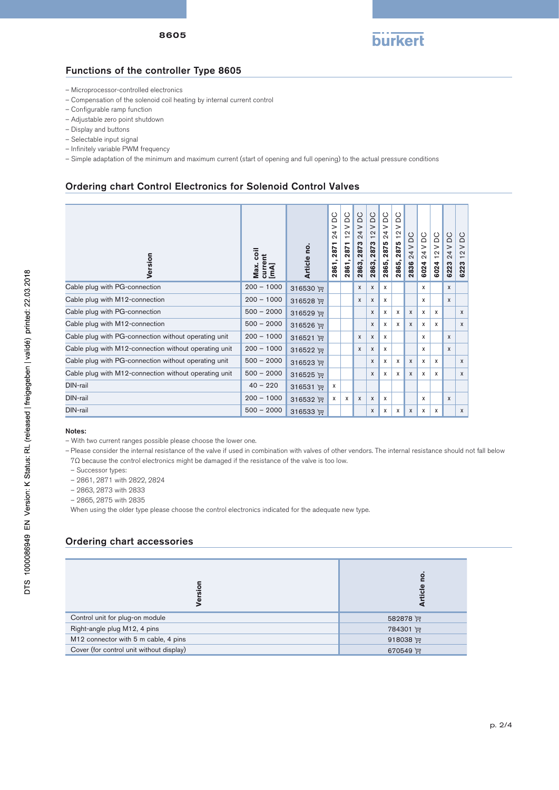

## Functions of the controller Type 8605

- Microprocessor-controlled electronics
- Compensation of the solenoid coil heating by internal current control
- Configurable ramp function
- Adjustable zero point shutdown
- Display and buttons
- Selectable input signal
- Infinitely variable PWM frequency
- Simple adaptation of the minimum and maximum current (start of opening and full opening) to the actual pressure conditions

### Ordering chart Control Electronics for Solenoid Control Valves

| Version                                               | coil<br>current<br>[mA]<br>Max. | Article no. | $\circ$<br>ă<br>$\geq$<br>4<br>Ń<br>↽<br>287<br>2861 | <b>DC</b><br>$\geq$<br>$\sim$<br>$\overline{\phantom{0}}$<br>↽<br>287<br>2861 | DC<br>$\geq$<br>4<br>$\dot{\sim}$<br>2873<br>2863, | DC<br>$\geq$<br>$\sim$<br>$\overline{\phantom{0}}$<br>2873<br>2863, | <b>DC</b><br>$\geq$<br>24<br>2875<br>2865, | DC<br>$\geq$<br>$\sim$<br>$\overline{\phantom{0}}$<br>2875<br>2865, | DC<br>$\geq$<br>4<br>$\dot{\sim}$<br>2836 | DC<br>$\mathbf{I}$<br>24<br>6024 | <b>DC</b><br>$\geq$<br>$\sim$<br>6024 | DC<br>$\geq$<br>24<br>6223 | <b>DC</b><br>$\geq$<br>$\mathbf{\Omega}$<br>$\overline{\phantom{0}}$<br>6223 |
|-------------------------------------------------------|---------------------------------|-------------|------------------------------------------------------|-------------------------------------------------------------------------------|----------------------------------------------------|---------------------------------------------------------------------|--------------------------------------------|---------------------------------------------------------------------|-------------------------------------------|----------------------------------|---------------------------------------|----------------------------|------------------------------------------------------------------------------|
| Cable plug with PG-connection                         | $200 - 1000$                    | 316530 评    |                                                      |                                                                               | X                                                  | X                                                                   | $\mathsf{x}$                               |                                                                     |                                           | X                                |                                       | $\mathsf{x}$               |                                                                              |
| Cable plug with M12-connection                        | $200 - 1000$                    | 316528 评    |                                                      |                                                                               | X                                                  | $\boldsymbol{\mathsf{x}}$                                           | $\mathsf{x}$                               |                                                                     |                                           | X                                |                                       | $\mathsf{x}$               |                                                                              |
| Cable plug with PG-connection                         | $500 - 2000$                    | 316529 评    |                                                      |                                                                               |                                                    | X                                                                   | x                                          | x                                                                   | $\mathsf{x}$                              | X                                | X                                     |                            | X                                                                            |
| Cable plug with M12-connection                        | $500 - 2000$                    | 316526 评    |                                                      |                                                                               |                                                    | X                                                                   | X                                          | X                                                                   | $\mathsf{x}$                              | X                                | X                                     |                            | $\mathsf{x}$                                                                 |
| Cable plug with PG-connection without operating unit  | $200 - 1000$                    | 316521 评    |                                                      |                                                                               | X                                                  | X                                                                   | x                                          |                                                                     |                                           | X                                |                                       | X                          |                                                                              |
| Cable plug with M12-connection without operating unit | $200 - 1000$                    | 316522 评    |                                                      |                                                                               | X                                                  | x                                                                   | x                                          |                                                                     |                                           | x                                |                                       | $\mathsf{x}$               |                                                                              |
| Cable plug with PG-connection without operating unit  | $500 - 2000$                    | 316523 评    |                                                      |                                                                               |                                                    | X                                                                   | X                                          | X                                                                   | $\mathsf{x}$                              | $\mathsf{x}$                     | X                                     |                            | X                                                                            |
| Cable plug with M12-connection without operating unit | $500 - 2000$                    | 316525 评    |                                                      |                                                                               |                                                    | X                                                                   | X                                          | X                                                                   | $\mathsf{x}$                              | X                                | X                                     |                            | X                                                                            |
| DIN-rail                                              | $40 - 220$                      | 316531 评    | x                                                    |                                                                               |                                                    |                                                                     |                                            |                                                                     |                                           |                                  |                                       |                            |                                                                              |
| DIN-rail                                              | $200 - 1000$                    | 316532 评    | X                                                    | x                                                                             | $\mathsf{x}$                                       | X                                                                   | X                                          |                                                                     |                                           | X                                |                                       | $\mathsf{x}$               |                                                                              |
| DIN-rail                                              | $500 - 2000$                    | 316533 评    |                                                      |                                                                               |                                                    | X                                                                   | X                                          | x                                                                   | $\mathsf{x}$                              | X                                | $\mathsf{x}$                          |                            | $\mathsf{x}$                                                                 |

#### Notes:

- Please consider the internal resistance of the valve if used in combination with valves of other vendors. The internal resistance should not fall below
- 7Ω because the control electronics might be damaged if the resistance of the valve is too low.
- Successor types:

– 2861, 2871 with 2822, 2824

– 2863, 2873 with 2833

– 2865, 2875 with 2835

When using the older type please choose the control electronics indicated for the adequate new type.

## Ordering chart accessories

| <u>ទី</u><br>Versi                       | <u>0</u><br>흐   |
|------------------------------------------|-----------------|
| Control unit for plug-on module          | 582878          |
| Right-angle plug M12, 4 pins             | 784301 评        |
| M12 connector with 5 m cable, 4 pins     | 918038 $\equiv$ |
| Cover (for control unit without display) | 670549 $\equiv$ |

<sup>–</sup> With two current ranges possible please choose the lower one.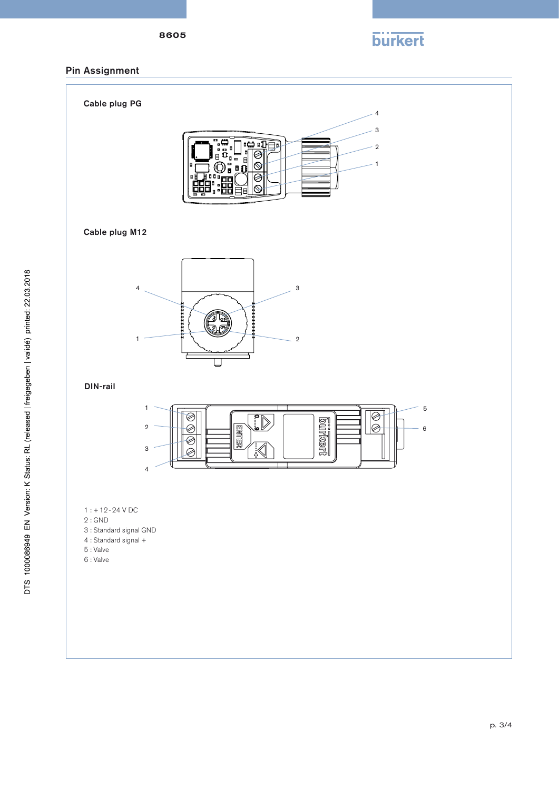8605

**burkert** 

## Pin Assignment